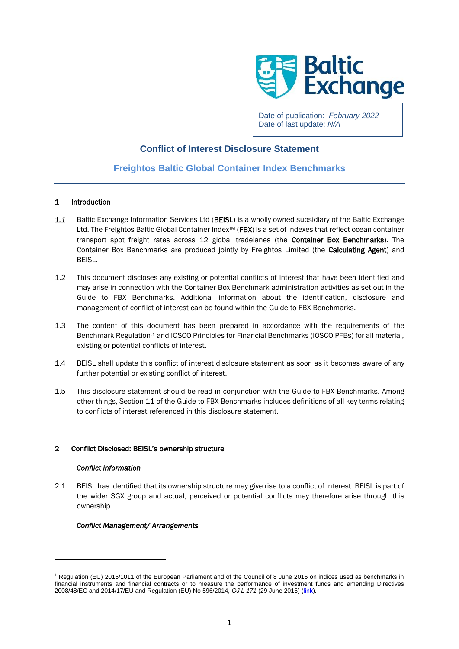

Date of publication: *February 2022* Date of last update: *N/A*

# **Conflict of Interest Disclosure Statement**

# **Freightos Baltic Global Container Index Benchmarks**

## 1 Introduction

- 1.1 Baltic Exchange Information Services Ltd (BEISL) is a wholly owned subsidiary of the Baltic Exchange Ltd. The Freightos Baltic Global Container Index™ (FBX) is a set of indexes that reflect ocean container transport spot freight rates across 12 global tradelanes (the Container Box Benchmarks). The Container Box Benchmarks are produced jointly by Freightos Limited (the Calculating Agent) and BEISL.
- 1.2 This document discloses any existing or potential conflicts of interest that have been identified and may arise in connection with the Container Box Benchmark administration activities as set out in the Guide to FBX Benchmarks. Additional information about the identification, disclosure and management of conflict of interest can be found within the Guide to FBX Benchmarks.
- 1.3 The content of this document has been prepared in accordance with the requirements of the Benchmark Regulation.<sup>1</sup> and IOSCO Principles for Financial Benchmarks (IOSCO PFBs) for all material, existing or potential conflicts of interest.
- 1.4 BEISL shall update this conflict of interest disclosure statement as soon as it becomes aware of any further potential or existing conflict of interest.
- 1.5 This disclosure statement should be read in conjunction with the Guide to FBX Benchmarks. Among other things, Section 11 of the Guide to FBX Benchmarks includes definitions of all key terms relating to conflicts of interest referenced in this disclosure statement.

## 2 Conflict Disclosed: BEISL's ownership structure

### *Conflict information*

2.1 BEISL has identified that its ownership structure may give rise to a conflict of interest. BEISL is part of the wider SGX group and actual, perceived or potential conflicts may therefore arise through this ownership.

### *Conflict Management/ Arrangements*

<sup>1</sup> Regulation (EU) 2016/1011 of the European Parliament and of the Council of 8 June 2016 on indices used as benchmarks in financial instruments and financial contracts or to measure the performance of investment funds and amending Directives 2008/48/EC and 2014/17/EU and Regulation (EU) No 596/2014, *OJ L 171* (29 June 2016) [\(link\)](https://eur-lex.europa.eu/legal-content/EN/TXT/?uri=CELEX%3A32016R1011).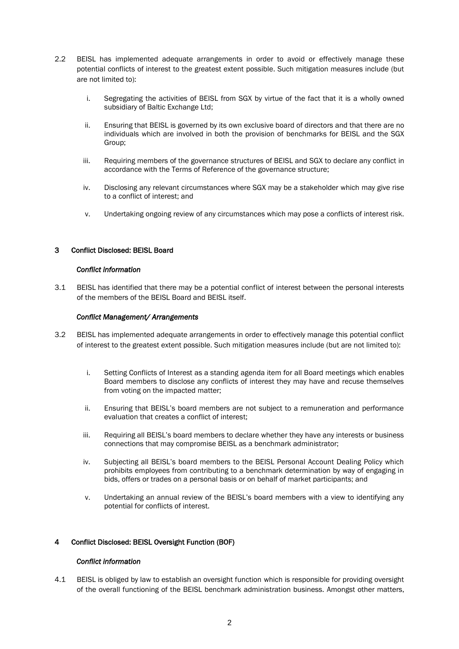- 2.2 BEISL has implemented adequate arrangements in order to avoid or effectively manage these potential conflicts of interest to the greatest extent possible. Such mitigation measures include (but are not limited to):
	- i. Segregating the activities of BEISL from SGX by virtue of the fact that it is a wholly owned subsidiary of Baltic Exchange Ltd;
	- ii. Ensuring that BEISL is governed by its own exclusive board of directors and that there are no individuals which are involved in both the provision of benchmarks for BEISL and the SGX Group;
	- iii. Requiring members of the governance structures of BEISL and SGX to declare any conflict in accordance with the Terms of Reference of the governance structure;
	- iv. Disclosing any relevant circumstances where SGX may be a stakeholder which may give rise to a conflict of interest; and
	- v. Undertaking ongoing review of any circumstances which may pose a conflicts of interest risk.

# 3 Conflict Disclosed: BEISL Board

### *Conflict information*

3.1 BEISL has identified that there may be a potential conflict of interest between the personal interests of the members of the BEISL Board and BEISL itself.

## *Conflict Management/ Arrangements*

- 3.2 BEISL has implemented adequate arrangements in order to effectively manage this potential conflict of interest to the greatest extent possible. Such mitigation measures include (but are not limited to):
	- i. Setting Conflicts of Interest as a standing agenda item for all Board meetings which enables Board members to disclose any conflicts of interest they may have and recuse themselves from voting on the impacted matter;
	- ii. Ensuring that BEISL's board members are not subject to a remuneration and performance evaluation that creates a conflict of interest;
	- iii. Requiring all BEISL's board members to declare whether they have any interests or business connections that may compromise BEISL as a benchmark administrator;
	- iv. Subjecting all BEISL's board members to the BEISL Personal Account Dealing Policy which prohibits employees from contributing to a benchmark determination by way of engaging in bids, offers or trades on a personal basis or on behalf of market participants; and
	- v. Undertaking an annual review of the BEISL's board members with a view to identifying any potential for conflicts of interest.

# 4 Conflict Disclosed: BEISL Oversight Function (BOF)

### *Conflict information*

4.1 BEISL is obliged by law to establish an oversight function which is responsible for providing oversight of the overall functioning of the BEISL benchmark administration business. Amongst other matters,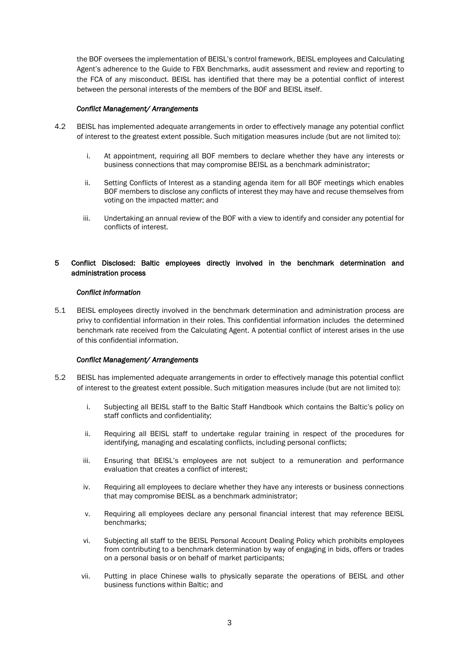the BOF oversees the implementation of BEISL's control framework, BEISL employees and Calculating Agent's adherence to the Guide to FBX Benchmarks, audit assessment and review and reporting to the FCA of any misconduct. BEISL has identified that there may be a potential conflict of interest between the personal interests of the members of the BOF and BEISL itself.

## *Conflict Management/ Arrangements*

- 4.2 BEISL has implemented adequate arrangements in order to effectively manage any potential conflict of interest to the greatest extent possible. Such mitigation measures include (but are not limited to):
	- i. At appointment, requiring all BOF members to declare whether they have any interests or business connections that may compromise BEISL as a benchmark administrator;
	- ii. Setting Conflicts of Interest as a standing agenda item for all BOF meetings which enables BOF members to disclose any conflicts of interest they may have and recuse themselves from voting on the impacted matter; and
	- iii. Undertaking an annual review of the BOF with a view to identify and consider any potential for conflicts of interest.

# 5 Conflict Disclosed: Baltic employees directly involved in the benchmark determination and administration process

### *Conflict information*

5.1 BEISL employees directly involved in the benchmark determination and administration process are privy to confidential information in their roles. This confidential information includes the determined benchmark rate received from the Calculating Agent. A potential conflict of interest arises in the use of this confidential information.

### *Conflict Management/ Arrangements*

- 5.2 BEISL has implemented adequate arrangements in order to effectively manage this potential conflict of interest to the greatest extent possible. Such mitigation measures include (but are not limited to):
	- i. Subjecting all BEISL staff to the Baltic Staff Handbook which contains the Baltic's policy on staff conflicts and confidentiality;
	- ii. Requiring all BEISL staff to undertake regular training in respect of the procedures for identifying, managing and escalating conflicts, including personal conflicts;
	- iii. Ensuring that BEISL's employees are not subject to a remuneration and performance evaluation that creates a conflict of interest;
	- iv. Requiring all employees to declare whether they have any interests or business connections that may compromise BEISL as a benchmark administrator;
	- v. Requiring all employees declare any personal financial interest that may reference BEISL benchmarks;
	- vi. Subjecting all staff to the BEISL Personal Account Dealing Policy which prohibits employees from contributing to a benchmark determination by way of engaging in bids, offers or trades on a personal basis or on behalf of market participants;
	- vii. Putting in place Chinese walls to physically separate the operations of BEISL and other business functions within Baltic; and